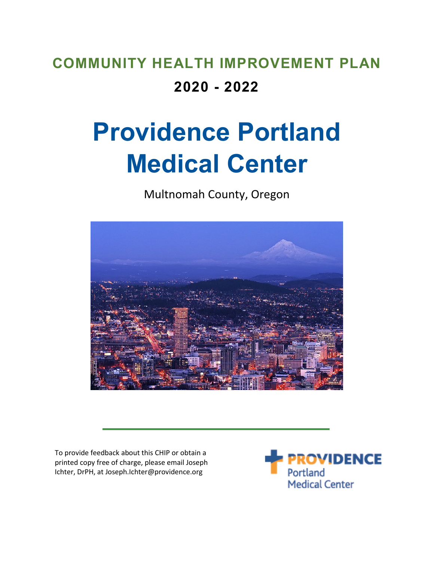# **COMMUNITY HEALTH IMPROVEMENT PLAN 2020 - 2022**

# **Providence Portland Medical Center**

Multnomah County, Oregon



To provide feedback about this CHIP or obtain a printed copy free of charge, please email Joseph Ichter, DrPH, at Joseph.Ichter@providence.org

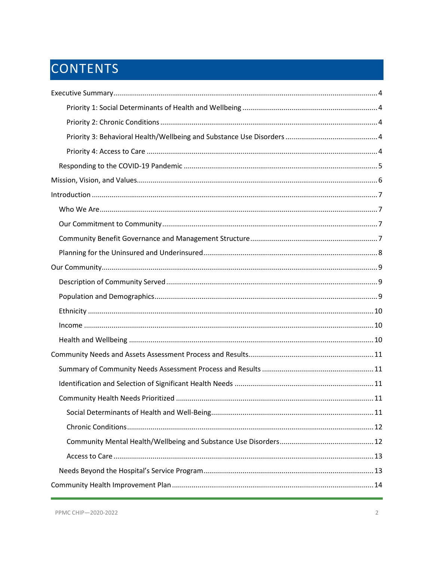# CONTENTS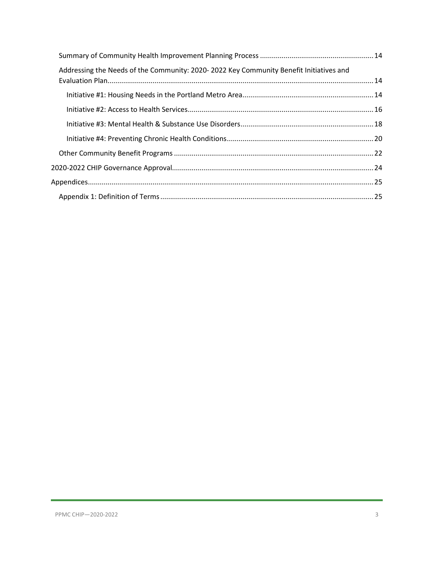| Addressing the Needs of the Community: 2020-2022 Key Community Benefit Initiatives and |  |
|----------------------------------------------------------------------------------------|--|
|                                                                                        |  |
|                                                                                        |  |
|                                                                                        |  |
|                                                                                        |  |
|                                                                                        |  |
|                                                                                        |  |
|                                                                                        |  |
|                                                                                        |  |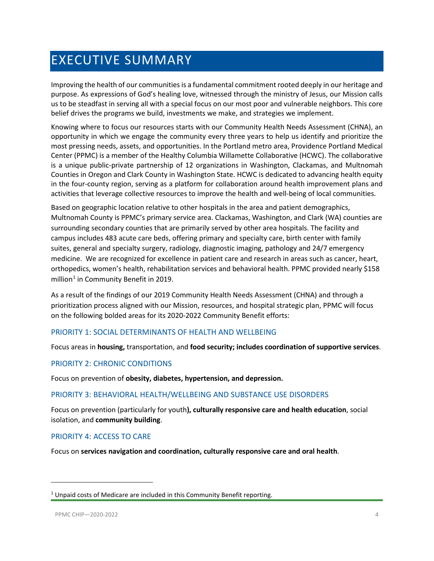# <span id="page-3-0"></span>EXECUTIVE SUMMARY

Improving the health of our communities is a fundamental commitment rooted deeply in our heritage and purpose. As expressions of God's healing love, witnessed through the ministry of Jesus, our Mission calls us to be steadfast in serving all with a special focus on our most poor and vulnerable neighbors. This core belief drives the programs we build, investments we make, and strategies we implement.

Knowing where to focus our resources starts with our Community Health Needs Assessment (CHNA), an opportunity in which we engage the community every three years to help us identify and prioritize the most pressing needs, assets, and opportunities. In the Portland metro area, Providence Portland Medical Center (PPMC) is a member of the Healthy Columbia Willamette Collaborative (HCWC). The collaborative is a unique public-private partnership of 12 organizations in Washington, Clackamas, and Multnomah Counties in Oregon and Clark County in Washington State. HCWC is dedicated to advancing health equity in the four-county region, serving as a platform for collaboration around health improvement plans and activities that leverage collective resources to improve the health and well-being of local communities.

Based on geographic location relative to other hospitals in the area and patient demographics, Multnomah County is PPMC's primary service area. Clackamas, Washington, and Clark (WA) counties are surrounding secondary counties that are primarily served by other area hospitals. The facility and campus includes 483 acute care beds, offering primary and specialty care, birth center with family suites, general and specialty surgery, radiology, diagnostic imaging, pathology and 24/7 emergency medicine. We are recognized for excellence in patient care and research in areas such as cancer, heart, orthopedics, women's health, rehabilitation services and behavioral health. PPMC provided nearly \$158 million<sup>[1](#page-3-5)</sup> in Community Benefit in 2019.

As a result of the findings of our 2019 Community Health Needs Assessment (CHNA) and through a prioritization process aligned with our Mission, resources, and hospital strategic plan, PPMC will focus on the following bolded areas for its 2020-2022 Community Benefit efforts:

#### <span id="page-3-1"></span>PRIORITY 1: SOCIAL DETERMINANTS OF HEALTH AND WELLBEING

Focus areas in **housing,** transportation, and **food security; includes coordination of supportive services**.

#### <span id="page-3-2"></span>PRIORITY 2: CHRONIC CONDITIONS

Focus on prevention of **obesity, diabetes, hypertension, and depression.**

#### <span id="page-3-3"></span>PRIORITY 3: BEHAVIORAL HEALTH/WELLBEING AND SUBSTANCE USE DISORDERS

Focus on prevention (particularly for youth**), culturally responsive care and health education**, social isolation, and **community building**.

#### <span id="page-3-4"></span>PRIORITY 4: ACCESS TO CARE

Focus on **services navigation and coordination, culturally responsive care and oral health**.

l

<span id="page-3-5"></span> $1$  Unpaid costs of Medicare are included in this Community Benefit reporting.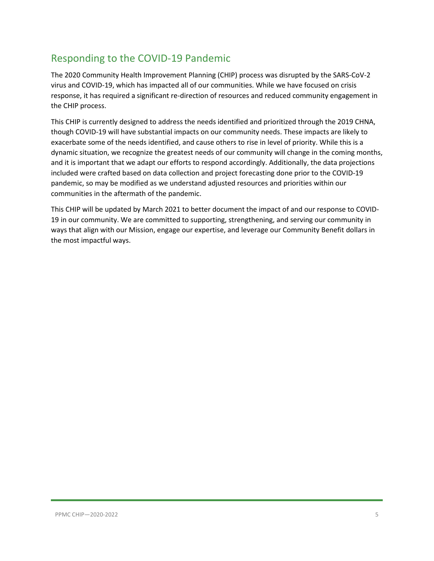# <span id="page-4-0"></span>Responding to the COVID-19 Pandemic

The 2020 Community Health Improvement Planning (CHIP) process was disrupted by the SARS-CoV-2 virus and COVID-19, which has impacted all of our communities. While we have focused on crisis response, it has required a significant re-direction of resources and reduced community engagement in the CHIP process.

This CHIP is currently designed to address the needs identified and prioritized through the 2019 CHNA, though COVID-19 will have substantial impacts on our community needs. These impacts are likely to exacerbate some of the needs identified, and cause others to rise in level of priority. While this is a dynamic situation, we recognize the greatest needs of our community will change in the coming months, and it is important that we adapt our efforts to respond accordingly. Additionally, the data projections included were crafted based on data collection and project forecasting done prior to the COVID-19 pandemic, so may be modified as we understand adjusted resources and priorities within our communities in the aftermath of the pandemic.

This CHIP will be updated by March 2021 to better document the impact of and our response to COVID-19 in our community. We are committed to supporting, strengthening, and serving our community in ways that align with our Mission, engage our expertise, and leverage our Community Benefit dollars in the most impactful ways.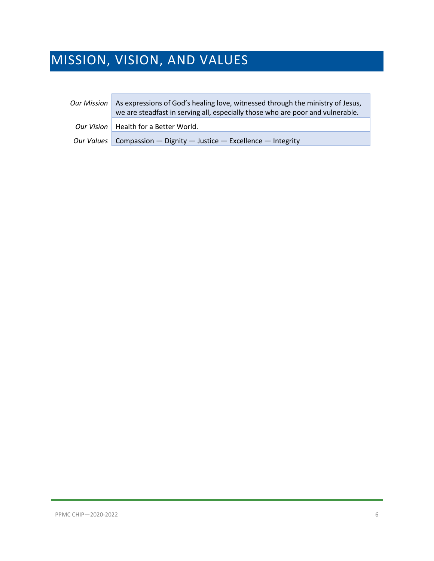# <span id="page-5-0"></span>MISSION, VISION, AND VALUES

F

| Our Mission | As expressions of God's healing love, witnessed through the ministry of Jesus,<br>we are steadfast in serving all, especially those who are poor and vulnerable. |
|-------------|------------------------------------------------------------------------------------------------------------------------------------------------------------------|
|             | Our Vision   Health for a Better World.                                                                                                                          |
|             | Our Values Compassion $-$ Dignity $-$ Justice $-$ Excellence $-$ Integrity                                                                                       |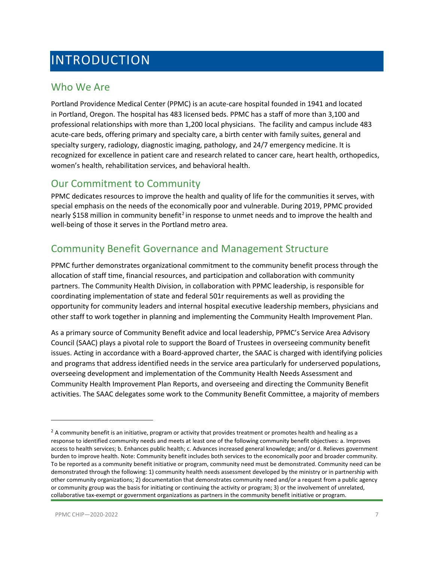# <span id="page-6-0"></span>INTRODUCTION

### <span id="page-6-1"></span>Who We Are

Portland Providence Medical Center (PPMC) is an acute-care hospital founded in 1941 and located in Portland, Oregon. The hospital has 483 licensed beds. PPMC has a staff of more than 3,100 and professional relationships with more than 1,200 local physicians. The facility and campus include 483 acute-care beds, offering primary and specialty care, a birth center with family suites, general and specialty surgery, radiology, diagnostic imaging, pathology, and 24/7 emergency medicine. It is recognized for excellence in patient care and research related to cancer care, heart health, orthopedics, women's health, rehabilitation services, and behavioral health.

### <span id="page-6-2"></span>Our Commitment to Community

PPMC dedicates resources to improve the health and quality of life for the communities it serves, with special emphasis on the needs of the economically poor and vulnerable. During 2019, PPMC provided nearly \$158 million in community benefit<sup>[2](#page-6-4)</sup> in response to unmet needs and to improve the health and well-being of those it serves in the Portland metro area.

### <span id="page-6-3"></span>Community Benefit Governance and Management Structure

PPMC further demonstrates organizational commitment to the community benefit process through the allocation of staff time, financial resources, and participation and collaboration with community partners. The Community Health Division, in collaboration with PPMC leadership, is responsible for coordinating implementation of state and federal 501r requirements as well as providing the opportunity for community leaders and internal hospital executive leadership members, physicians and other staff to work together in planning and implementing the Community Health Improvement Plan.

As a primary source of Community Benefit advice and local leadership, PPMC's Service Area Advisory Council (SAAC) plays a pivotal role to support the Board of Trustees in overseeing community benefit issues. Acting in accordance with a Board-approved charter, the SAAC is charged with identifying policies and programs that address identified needs in the service area particularly for underserved populations, overseeing development and implementation of the Community Health Needs Assessment and Community Health Improvement Plan Reports, and overseeing and directing the Community Benefit activities. The SAAC delegates some work to the Community Benefit Committee, a majority of members

 $\overline{\phantom{a}}$ 

<span id="page-6-4"></span> $2$  A community benefit is an initiative, program or activity that provides treatment or promotes health and healing as a response to identified community needs and meets at least one of the following community benefit objectives: a. Improves access to health services; b. Enhances public health; c. Advances increased general knowledge; and/or d. Relieves government burden to improve health. Note: Community benefit includes both services to the economically poor and broader community. To be reported as a community benefit initiative or program, community need must be demonstrated. Community need can be demonstrated through the following: 1) community health needs assessment developed by the ministry or in partnership with other community organizations; 2) documentation that demonstrates community need and/or a request from a public agency or community group was the basis for initiating or continuing the activity or program; 3) or the involvement of unrelated, collaborative tax-exempt or government organizations as partners in the community benefit initiative or program.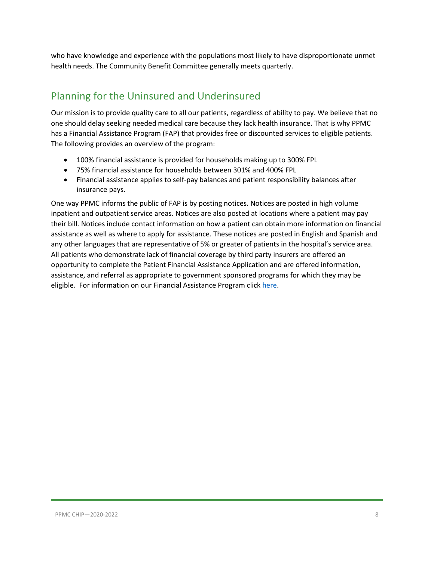who have knowledge and experience with the populations most likely to have disproportionate unmet health needs. The Community Benefit Committee generally meets quarterly.

# <span id="page-7-0"></span>Planning for the Uninsured and Underinsured

Our mission is to provide quality care to all our patients, regardless of ability to pay. We believe that no one should delay seeking needed medical care because they lack health insurance. That is why PPMC has a Financial Assistance Program (FAP) that provides free or discounted services to eligible patients. The following provides an overview of the program:

- 100% financial assistance is provided for households making up to 300% FPL
- 75% financial assistance for households between 301% and 400% FPL
- Financial assistance applies to self-pay balances and patient responsibility balances after insurance pays.

One way PPMC informs the public of FAP is by posting notices. Notices are posted in high volume inpatient and outpatient service areas. Notices are also posted at locations where a patient may pay their bill. Notices include contact information on how a patient can obtain more information on financial assistance as well as where to apply for assistance. These notices are posted in English and Spanish and any other languages that are representative of 5% or greater of patients in the hospital's service area. All patients who demonstrate lack of financial coverage by third party insurers are offered an opportunity to complete the Patient Financial Assistance Application and are offered information, assistance, and referral as appropriate to government sponsored programs for which they may be eligible. For information on our Financial Assistance Program click [here.](https://www.providence.org/obp/or/financial-assistance)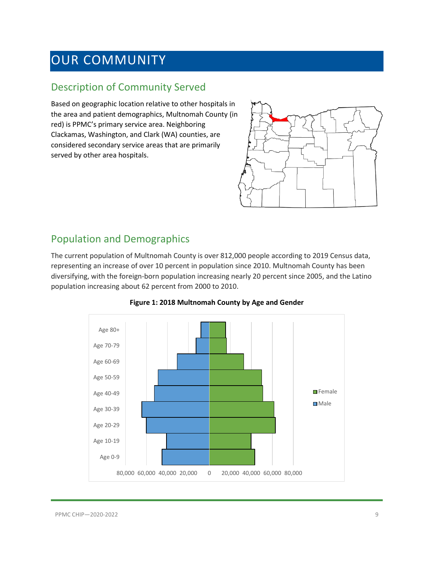# <span id="page-8-0"></span>OUR COMMUNITY

### <span id="page-8-1"></span>Description of Community Served

Based on geographic location relative to other hospitals in the area and patient demographics, Multnomah County (in red) is PPMC's primary service area. Neighboring Clackamas, Washington, and Clark (WA) counties, are considered secondary service areas that are primarily served by other area hospitals.



# <span id="page-8-2"></span>Population and Demographics

The current population of Multnomah County is over 812,000 people according to 2019 Census data, representing an increase of over 10 percent in population since 2010. Multnomah County has been diversifying, with the foreign-born population increasing nearly 20 percent since 2005, and the Latino population increasing about 62 percent from 2000 to 2010.



**Figure 1: 2018 Multnomah County by Age and Gender**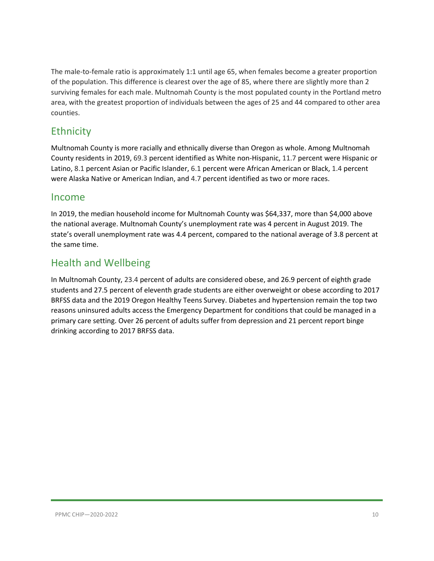The male-to-female ratio is approximately 1:1 until age 65, when females become a greater proportion of the population. This difference is clearest over the age of 85, where there are slightly more than 2 surviving females for each male. Multnomah County is the most populated county in the Portland metro area, with the greatest proportion of individuals between the ages of 25 and 44 compared to other area counties.

### <span id="page-9-0"></span>**Ethnicity**

Multnomah County is more racially and ethnically diverse than Oregon as whole. Among Multnomah County residents in 2019, 69.3 percent identified as White non-Hispanic, 11.7 percent were Hispanic or Latino, 8.1 percent Asian or Pacific Islander, 6.1 percent were African American or Black, 1.4 percent were Alaska Native or American Indian, and 4.7 percent identified as two or more races.

### <span id="page-9-1"></span>Income

In 2019, the median household income for Multnomah County was \$64,337, more than \$4,000 above the national average. Multnomah County's unemployment rate was 4 percent in August 2019. The state's overall unemployment rate was 4.4 percent, compared to the national average of 3.8 percent at the same time.

# <span id="page-9-2"></span>Health and Wellbeing

In Multnomah County, 23.4 percent of adults are considered obese, and 26.9 percent of eighth grade students and 27.5 percent of eleventh grade students are either overweight or obese according to 2017 BRFSS data and the 2019 Oregon Healthy Teens Survey. Diabetes and hypertension remain the top two reasons uninsured adults access the Emergency Department for conditions that could be managed in a primary care setting. Over 26 percent of adults suffer from depression and 21 percent report binge drinking according to 2017 BRFSS data.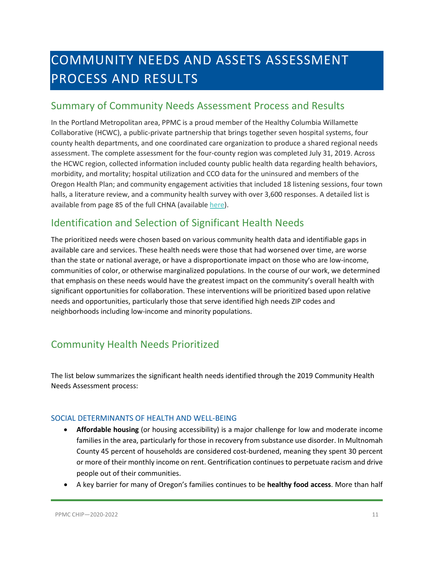# <span id="page-10-0"></span>COMMUNITY NEEDS AND ASSETS ASSESSMENT PROCESS AND RESULTS

### <span id="page-10-1"></span>Summary of Community Needs Assessment Process and Results

In the Portland Metropolitan area, PPMC is a proud member of the Healthy Columbia Willamette Collaborative (HCWC), a public-private partnership that brings together seven hospital systems, four county health departments, and one coordinated care organization to produce a shared regional needs assessment. The complete assessment for the four-county region was completed July 31, 2019. Across the HCWC region, collected information included county public health data regarding health behaviors, morbidity, and mortality; hospital utilization and CCO data for the uninsured and members of the Oregon Health Plan; and community engagement activities that included 18 listening sessions, four town halls, a literature review, and a community health survey with over 3,600 responses. A detailed list is available from page 85 of the full CHNA (available [here\)](https://comagine.org/sites/default/files/resources/HCWC-Community-Health-Needs-Assessment-Report-July2019_0.pdf).

### <span id="page-10-2"></span>Identification and Selection of Significant Health Needs

The prioritized needs were chosen based on various community health data and identifiable gaps in available care and services. These health needs were those that had worsened over time, are worse than the state or national average, or have a disproportionate impact on those who are low-income, communities of color, or otherwise marginalized populations. In the course of our work, we determined that emphasis on these needs would have the greatest impact on the community's overall health with significant opportunities for collaboration. These interventions will be prioritized based upon relative needs and opportunities, particularly those that serve identified high needs ZIP codes and neighborhoods including low-income and minority populations.

# <span id="page-10-3"></span>Community Health Needs Prioritized

The list below summarizes the significant health needs identified through the 2019 Community Health Needs Assessment process:

#### <span id="page-10-4"></span>SOCIAL DETERMINANTS OF HEALTH AND WELL-BEING

- **Affordable housing** (or housing accessibility) is a major challenge for low and moderate income families in the area, particularly for those in recovery from substance use disorder. In Multnomah County 45 percent of households are considered cost-burdened, meaning they spent 30 percent or more of their monthly income on rent. Gentrification continues to perpetuate racism and drive people out of their communities.
- A key barrier for many of Oregon's families continues to be **healthy food access**. More than half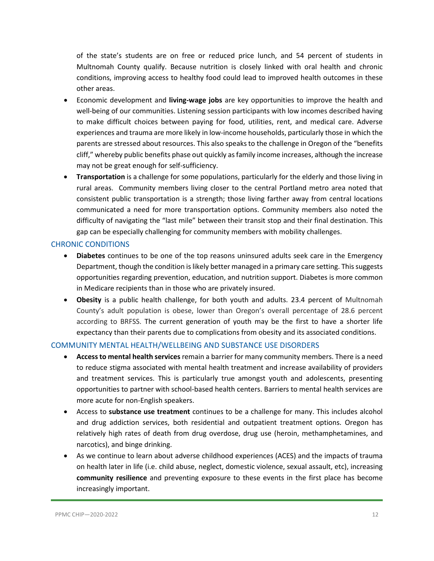of the state's students are on free or reduced price lunch, and 54 percent of students in Multnomah County qualify. Because nutrition is closely linked with oral health and chronic conditions, improving access to healthy food could lead to improved health outcomes in these other areas.

- Economic development and **living-wage jobs** are key opportunities to improve the health and well-being of our communities. Listening session participants with low incomes described having to make difficult choices between paying for food, utilities, rent, and medical care. Adverse experiences and trauma are more likely in low-income households, particularly those in which the parents are stressed about resources. This also speaks to the challenge in Oregon of the "benefits cliff," whereby public benefits phase out quickly as family income increases, although the increase may not be great enough for self-sufficiency.
- **Transportation** is a challenge for some populations, particularly for the elderly and those living in rural areas. Community members living closer to the central Portland metro area noted that consistent public transportation is a strength; those living farther away from central locations communicated a need for more transportation options. Community members also noted the difficulty of navigating the "last mile" between their transit stop and their final destination. This gap can be especially challenging for community members with mobility challenges.

#### <span id="page-11-0"></span>CHRONIC CONDITIONS

- **Diabetes** continues to be one of the top reasons uninsured adults seek care in the Emergency Department, though the condition is likely better managed in a primary care setting. This suggests opportunities regarding prevention, education, and nutrition support. Diabetes is more common in Medicare recipients than in those who are privately insured.
- **Obesity** is a public health challenge, for both youth and adults. 23.4 percent of Multnomah County's adult population is obese, lower than Oregon's overall percentage of 28.6 percent according to BRFSS. The current generation of youth may be the first to have a shorter life expectancy than their parents due to complications from obesity and its associated conditions.

#### <span id="page-11-1"></span>COMMUNITY MENTAL HEALTH/WELLBEING AND SUBSTANCE USE DISORDERS

- **Access to mental health services**remain a barrier for many community members. There is a need to reduce stigma associated with mental health treatment and increase availability of providers and treatment services. This is particularly true amongst youth and adolescents, presenting opportunities to partner with school-based health centers. Barriers to mental health services are more acute for non-English speakers.
- Access to **substance use treatment** continues to be a challenge for many. This includes alcohol and drug addiction services, both residential and outpatient treatment options. Oregon has relatively high rates of death from drug overdose, drug use (heroin, methamphetamines, and narcotics), and binge drinking.
- As we continue to learn about adverse childhood experiences (ACES) and the impacts of trauma on health later in life (i.e. child abuse, neglect, domestic violence, sexual assault, etc), increasing **community resilience** and preventing exposure to these events in the first place has become increasingly important.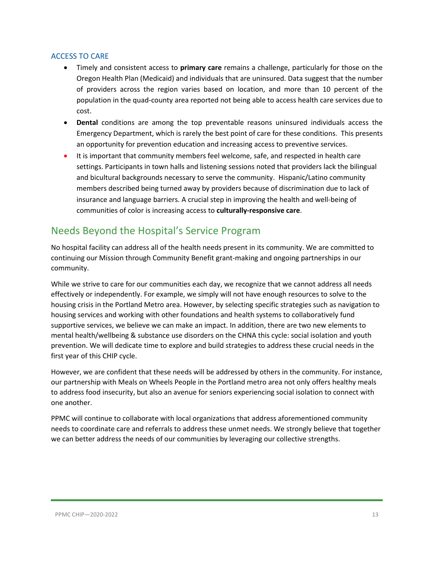#### <span id="page-12-0"></span>ACCESS TO CARE

- Timely and consistent access to **primary care** remains a challenge, particularly for those on the Oregon Health Plan (Medicaid) and individuals that are uninsured. Data suggest that the number of providers across the region varies based on location, and more than 10 percent of the population in the quad-county area reported not being able to access health care services due to cost.
- **Dental** conditions are among the top preventable reasons uninsured individuals access the Emergency Department, which is rarely the best point of care for these conditions. This presents an opportunity for prevention education and increasing access to preventive services.
- It is important that community members feel welcome, safe, and respected in health care settings. Participants in town halls and listening sessions noted that providers lack the bilingual and bicultural backgrounds necessary to serve the community. Hispanic/Latino community members described being turned away by providers because of discrimination due to lack of insurance and language barriers. A crucial step in improving the health and well-being of communities of color is increasing access to **culturally-responsive care**.

# <span id="page-12-1"></span>Needs Beyond the Hospital's Service Program

No hospital facility can address all of the health needs present in its community. We are committed to continuing our Mission through Community Benefit grant-making and ongoing partnerships in our community.

While we strive to care for our communities each day, we recognize that we cannot address all needs effectively or independently. For example, we simply will not have enough resources to solve to the housing crisis in the Portland Metro area. However, by selecting specific strategies such as navigation to housing services and working with other foundations and health systems to collaboratively fund supportive services, we believe we can make an impact. In addition, there are two new elements to mental health/wellbeing & substance use disorders on the CHNA this cycle: social isolation and youth prevention. We will dedicate time to explore and build strategies to address these crucial needs in the first year of this CHIP cycle.

However, we are confident that these needs will be addressed by others in the community. For instance, our partnership with Meals on Wheels People in the Portland metro area not only offers healthy meals to address food insecurity, but also an avenue for seniors experiencing social isolation to connect with one another.

PPMC will continue to collaborate with local organizations that address aforementioned community needs to coordinate care and referrals to address these unmet needs. We strongly believe that together we can better address the needs of our communities by leveraging our collective strengths.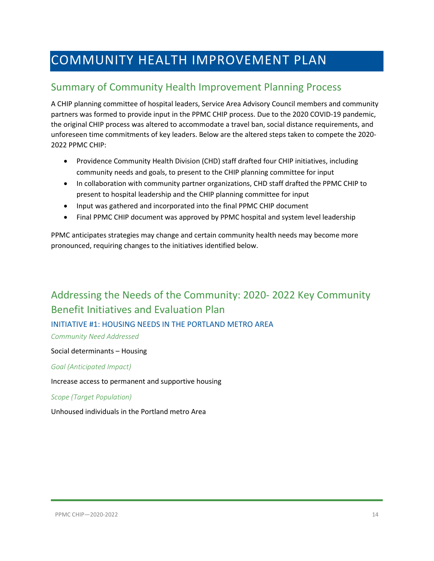# <span id="page-13-0"></span>COMMUNITY HEALTH IMPROVEMENT PLAN

### <span id="page-13-1"></span>Summary of Community Health Improvement Planning Process

A CHIP planning committee of hospital leaders, Service Area Advisory Council members and community partners was formed to provide input in the PPMC CHIP process. Due to the 2020 COVID-19 pandemic, the original CHIP process was altered to accommodate a travel ban, social distance requirements, and unforeseen time commitments of key leaders. Below are the altered steps taken to compete the 2020- 2022 PPMC CHIP:

- Providence Community Health Division (CHD) staff drafted four CHIP initiatives, including community needs and goals, to present to the CHIP planning committee for input
- In collaboration with community partner organizations, CHD staff drafted the PPMC CHIP to present to hospital leadership and the CHIP planning committee for input
- Input was gathered and incorporated into the final PPMC CHIP document
- Final PPMC CHIP document was approved by PPMC hospital and system level leadership

PPMC anticipates strategies may change and certain community health needs may become more pronounced, requiring changes to the initiatives identified below.

# <span id="page-13-2"></span>Addressing the Needs of the Community: 2020- 2022 Key Community Benefit Initiatives and Evaluation Plan

#### <span id="page-13-3"></span>INITIATIVE #1: HOUSING NEEDS IN THE PORTLAND METRO AREA

*Community Need Addressed*

#### Social determinants – Housing

#### *Goal (Anticipated Impact)*

Increase access to permanent and supportive housing

#### *Scope (Target Population)*

Unhoused individuals in the Portland metro Area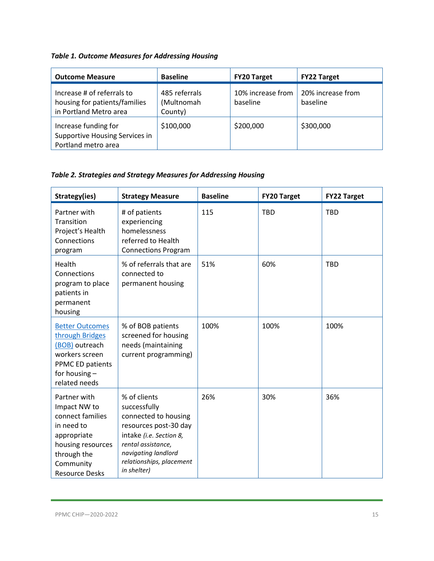### *Table 1. Outcome Measures for Addressing Housing*

| <b>Outcome Measure</b>                                                                | <b>Baseline</b>                        | <b>FY20 Target</b>            | <b>FY22 Target</b>            |
|---------------------------------------------------------------------------------------|----------------------------------------|-------------------------------|-------------------------------|
| Increase # of referrals to<br>housing for patients/families<br>in Portland Metro area | 485 referrals<br>(Multnomah<br>County) | 10% increase from<br>baseline | 20% increase from<br>baseline |
| Increase funding for<br>Supportive Housing Services in<br>Portland metro area         | \$100,000                              | \$200,000                     | \$300,000                     |

#### *Table 2. Strategies and Strategy Measures for Addressing Housing*

| Strategy(ies)                                                                                                                                           | <b>Strategy Measure</b>                                                                                                                                                                          | <b>Baseline</b> | <b>FY20 Target</b> | <b>FY22 Target</b> |
|---------------------------------------------------------------------------------------------------------------------------------------------------------|--------------------------------------------------------------------------------------------------------------------------------------------------------------------------------------------------|-----------------|--------------------|--------------------|
| Partner with<br>Transition<br>Project's Health<br>Connections<br>program                                                                                | # of patients<br>experiencing<br>homelessness<br>referred to Health<br><b>Connections Program</b>                                                                                                | 115             | <b>TBD</b>         | <b>TBD</b>         |
| Health<br>Connections<br>program to place<br>patients in<br>permanent<br>housing                                                                        | % of referrals that are<br>connected to<br>permanent housing                                                                                                                                     | 51%             | 60%                | <b>TBD</b>         |
| <b>Better Outcomes</b><br>through Bridges<br>(BOB) outreach<br>workers screen<br>PPMC ED patients<br>for housing $-$<br>related needs                   | % of BOB patients<br>screened for housing<br>needs (maintaining<br>current programming)                                                                                                          | 100%            | 100%               | 100%               |
| Partner with<br>Impact NW to<br>connect families<br>in need to<br>appropriate<br>housing resources<br>through the<br>Community<br><b>Resource Desks</b> | % of clients<br>successfully<br>connected to housing<br>resources post-30 day<br>intake (i.e. Section 8,<br>rental assistance,<br>navigating landlord<br>relationships, placement<br>in shelter) | 26%             | 30%                | 36%                |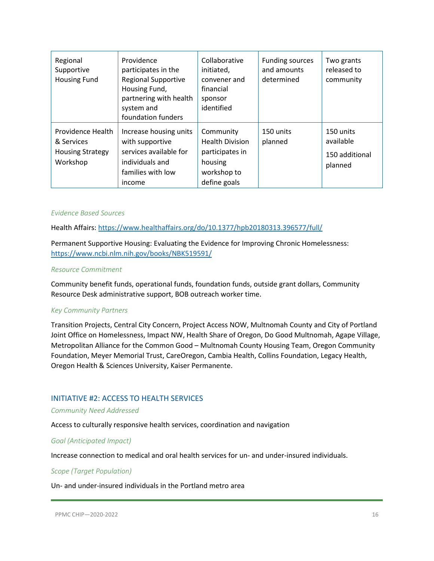| Regional<br>Supportive<br><b>Housing Fund</b>                          | Providence<br>participates in the<br><b>Regional Supportive</b><br>Housing Fund,<br>partnering with health<br>system and<br>foundation funders | Collaborative<br>initiated,<br>convener and<br>financial<br>sponsor<br>identified                | <b>Funding sources</b><br>and amounts<br>determined | Two grants<br>released to<br>community              |
|------------------------------------------------------------------------|------------------------------------------------------------------------------------------------------------------------------------------------|--------------------------------------------------------------------------------------------------|-----------------------------------------------------|-----------------------------------------------------|
| Providence Health<br>& Services<br><b>Housing Strategy</b><br>Workshop | Increase housing units<br>with supportive<br>services available for<br>individuals and<br>families with low<br>income                          | Community<br><b>Health Division</b><br>participates in<br>housing<br>workshop to<br>define goals | 150 units<br>planned                                | 150 units<br>available<br>150 additional<br>planned |

#### *Evidence Based Sources*

Health Affairs[: https://www.healthaffairs.org/do/10.1377/hpb20180313.396577/full/](https://www.healthaffairs.org/do/10.1377/hpb20180313.396577/full/)

Permanent Supportive Housing: Evaluating the Evidence for Improving Chronic Homelessness: <https://www.ncbi.nlm.nih.gov/books/NBK519591/>

#### *Resource Commitment*

Community benefit funds, operational funds, foundation funds, outside grant dollars, Community Resource Desk administrative support, BOB outreach worker time.

#### *Key Community Partners*

Transition Projects, Central City Concern, Project Access NOW, Multnomah County and City of Portland Joint Office on Homelessness, Impact NW, Health Share of Oregon, Do Good Multnomah, Agape Village, Metropolitan Alliance for the Common Good – Multnomah County Housing Team, Oregon Community Foundation, Meyer Memorial Trust, CareOregon, Cambia Health, Collins Foundation, Legacy Health, Oregon Health & Sciences University, Kaiser Permanente.

#### <span id="page-15-0"></span>INITIATIVE #2: ACCESS TO HEALTH SERVICES

#### *Community Need Addressed*

Access to culturally responsive health services, coordination and navigation

#### *Goal (Anticipated Impact)*

Increase connection to medical and oral health services for un- and under-insured individuals.

#### *Scope (Target Population)*

Un- and under-insured individuals in the Portland metro area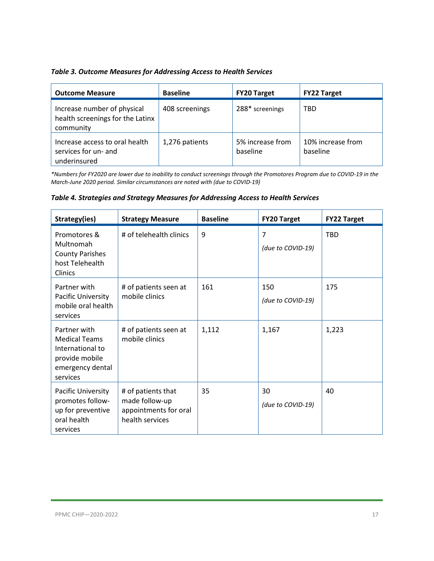#### *Table 3. Outcome Measures for Addressing Access to Health Services*

| <b>Outcome Measure</b>                                                       | <b>Baseline</b> | <b>FY20 Target</b>           | <b>FY22 Target</b>            |
|------------------------------------------------------------------------------|-----------------|------------------------------|-------------------------------|
| Increase number of physical<br>health screenings for the Latinx<br>community | 408 screenings  | 288* screenings              | <b>TRD</b>                    |
| Increase access to oral health<br>services for un- and<br>underinsured       | 1,276 patients  | 5% increase from<br>baseline | 10% increase from<br>baseline |

*\*Numbers for FY2020 are lower due to inability to conduct screenings through the Promotores Program due to COVID-19 in the March-June 2020 period. Similar circumstances are noted with (due to COVID-19)*

#### *Table 4. Strategies and Strategy Measures for Addressing Access to Health Services*

| Strategy(ies)                                                                                              | <b>Strategy Measure</b>                                                          | <b>Baseline</b> | <b>FY20 Target</b>                  | <b>FY22 Target</b> |
|------------------------------------------------------------------------------------------------------------|----------------------------------------------------------------------------------|-----------------|-------------------------------------|--------------------|
| Promotores &<br>Multnomah<br><b>County Parishes</b><br>host Telehealth<br>Clinics                          | # of telehealth clinics                                                          | 9               | $\overline{7}$<br>(due to COVID-19) | <b>TBD</b>         |
| Partner with<br>Pacific University<br>mobile oral health<br>services                                       | # of patients seen at<br>mobile clinics                                          | 161             | 150<br>(due to COVID-19)            | 175                |
| Partner with<br><b>Medical Teams</b><br>International to<br>provide mobile<br>emergency dental<br>services | # of patients seen at<br>mobile clinics                                          | 1,112           | 1,167                               | 1,223              |
| Pacific University<br>promotes follow-<br>up for preventive<br>oral health<br>services                     | # of patients that<br>made follow-up<br>appointments for oral<br>health services | 35              | 30<br>(due to COVID-19)             | 40                 |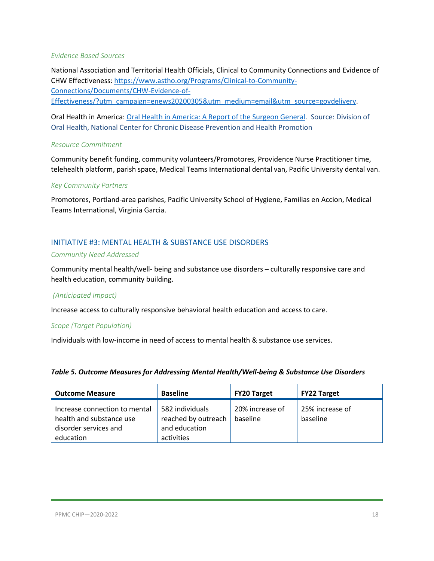#### *Evidence Based Sources*

National Association and Territorial Health Officials, Clinical to Community Connections and Evidence of CHW Effectiveness: [https://www.astho.org/Programs/Clinical-to-Community-](https://www.astho.org/Programs/Clinical-to-Community-Connections/Documents/CHW-Evidence-of-Effectiveness/?utm_campaign=enews20200305&utm_medium=email&utm_source=govdelivery)[Connections/Documents/CHW-Evidence-of-](https://www.astho.org/Programs/Clinical-to-Community-Connections/Documents/CHW-Evidence-of-Effectiveness/?utm_campaign=enews20200305&utm_medium=email&utm_source=govdelivery)[Effectiveness/?utm\\_campaign=enews20200305&utm\\_medium=email&utm\\_source=govdelivery.](https://www.astho.org/Programs/Clinical-to-Community-Connections/Documents/CHW-Evidence-of-Effectiveness/?utm_campaign=enews20200305&utm_medium=email&utm_source=govdelivery)

Oral Health in America[: Oral Health in America: A Report of the Surgeon General.](https://www.nidcr.nih.gov/sites/default/files/2017-10/hck1ocv.%40www.surgeon.fullrpt.pdf) Source: Division of Oral Health, National Center for Chronic Disease Prevention and Health Promotion

#### *Resource Commitment*

Community benefit funding, community volunteers/Promotores, Providence Nurse Practitioner time, telehealth platform, parish space, Medical Teams International dental van, Pacific University dental van.

#### *Key Community Partners*

Promotores, Portland-area parishes, Pacific University School of Hygiene, Familias en Accion, Medical Teams International, Virginia Garcia.

#### <span id="page-17-0"></span>INITIATIVE #3: MENTAL HEALTH & SUBSTANCE USE DISORDERS

#### *Community Need Addressed*

Community mental health/well- being and substance use disorders – culturally responsive care and health education, community building.

#### *(Anticipated Impact)*

Increase access to culturally responsive behavioral health education and access to care.

#### *Scope (Target Population)*

Individuals with low-income in need of access to mental health & substance use services.

#### *Table 5. Outcome Measures for Addressing Mental Health/Well-being & Substance Use Disorders*

| <b>Outcome Measure</b>                                                                          | <b>Baseline</b>                                                       | <b>FY20 Target</b>          | <b>FY22 Target</b>          |
|-------------------------------------------------------------------------------------------------|-----------------------------------------------------------------------|-----------------------------|-----------------------------|
| Increase connection to mental<br>health and substance use<br>disorder services and<br>education | 582 individuals<br>reached by outreach<br>and education<br>activities | 20% increase of<br>baseline | 25% increase of<br>baseline |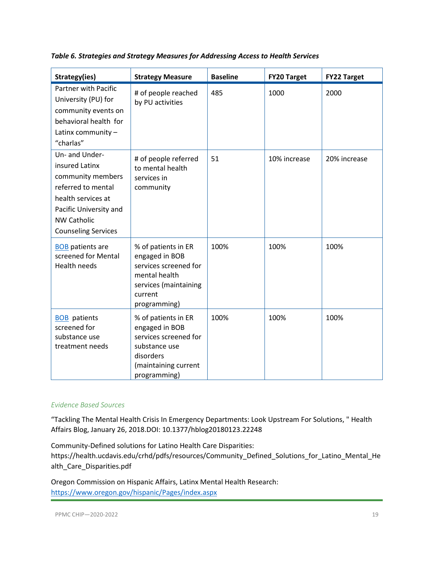| Strategy(ies)                                                                                                                                                                   | <b>Strategy Measure</b>                                                                                                              | <b>Baseline</b> | <b>FY20 Target</b> | <b>FY22 Target</b> |
|---------------------------------------------------------------------------------------------------------------------------------------------------------------------------------|--------------------------------------------------------------------------------------------------------------------------------------|-----------------|--------------------|--------------------|
| <b>Partner with Pacific</b><br>University (PU) for<br>community events on<br>behavioral health for<br>Latinx community -<br>"charlas"                                           | # of people reached<br>by PU activities                                                                                              | 485             | 1000               | 2000               |
| Un- and Under-<br>insured Latinx<br>community members<br>referred to mental<br>health services at<br>Pacific University and<br><b>NW Catholic</b><br><b>Counseling Services</b> | # of people referred<br>to mental health<br>services in<br>community                                                                 | 51              | 10% increase       | 20% increase       |
| <b>BOB</b> patients are<br>screened for Mental<br>Health needs                                                                                                                  | % of patients in ER<br>engaged in BOB<br>services screened for<br>mental health<br>services (maintaining<br>current<br>programming)  | 100%            | 100%               | 100%               |
| <b>BOB</b> patients<br>screened for<br>substance use<br>treatment needs                                                                                                         | % of patients in ER<br>engaged in BOB<br>services screened for<br>substance use<br>disorders<br>(maintaining current<br>programming) | 100%            | 100%               | 100%               |

*Table 6. Strategies and Strategy Measures for Addressing Access to Health Services*

#### *Evidence Based Sources*

"Tackling The Mental Health Crisis In Emergency Departments: Look Upstream For Solutions, " Health Affairs Blog, January 26, 2018.DOI: 10.1377/hblog20180123.22248

Community-Defined solutions for Latino Health Care Disparities: https://health.ucdavis.edu/crhd/pdfs/resources/Community\_Defined\_Solutions\_for\_Latino\_Mental\_He alth\_Care\_Disparities.pdf

Oregon Commission on Hispanic Affairs, Latinx Mental Health Research: <https://www.oregon.gov/hispanic/Pages/index.aspx>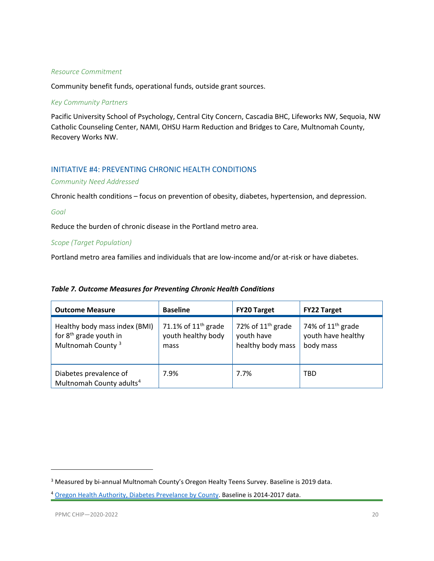#### *Resource Commitment*

Community benefit funds, operational funds, outside grant sources.

#### *Key Community Partners*

Pacific University School of Psychology, Central City Concern, Cascadia BHC, Lifeworks NW, Sequoia, NW Catholic Counseling Center, NAMI, OHSU Harm Reduction and Bridges to Care, Multnomah County, Recovery Works NW.

#### <span id="page-19-0"></span>INITIATIVE #4: PREVENTING CHRONIC HEALTH CONDITIONS

#### *Community Need Addressed*

Chronic health conditions – focus on prevention of obesity, diabetes, hypertension, and depression.

#### *Goal*

Reduce the burden of chronic disease in the Portland metro area.

#### *Scope (Target Population)*

Portland metro area families and individuals that are low-income and/or at-risk or have diabetes.

| <b>Table 7. Outcome Measures for Preventing Chronic Health Conditions</b> |  |
|---------------------------------------------------------------------------|--|
|---------------------------------------------------------------------------|--|

| <b>Outcome Measure</b>                                                                               | <b>Baseline</b>                                     | <b>FY20 Target</b>                                     | <b>FY22 Target</b>                                     |
|------------------------------------------------------------------------------------------------------|-----------------------------------------------------|--------------------------------------------------------|--------------------------------------------------------|
| Healthy body mass index (BMI)<br>for 8 <sup>th</sup> grade youth in<br>Multnomah County <sup>3</sup> | 71.1% of $11th$ grade<br>youth healthy body<br>mass | 72% of $11th$ grade<br>youth have<br>healthy body mass | 74% of $11th$ grade<br>youth have healthy<br>body mass |
| Diabetes prevalence of<br>Multnomah County adults <sup>4</sup>                                       | 7.9%                                                | 7.7%                                                   | <b>TBD</b>                                             |

 $\overline{\phantom{a}}$ 

<span id="page-19-1"></span><sup>&</sup>lt;sup>3</sup> Measured by bi-annual Multnomah County's Oregon Healty Teens Survey. Baseline is 2019 data.

<span id="page-19-2"></span><sup>&</sup>lt;sup>4</sup> [Oregon Health Authority, Diabetes Prevelance by County.](https://www.oregon.gov/oha/PH/ABOUT/Documents/indicators/diabetesprev-county.pdf) Baseline is 2014-2017 data.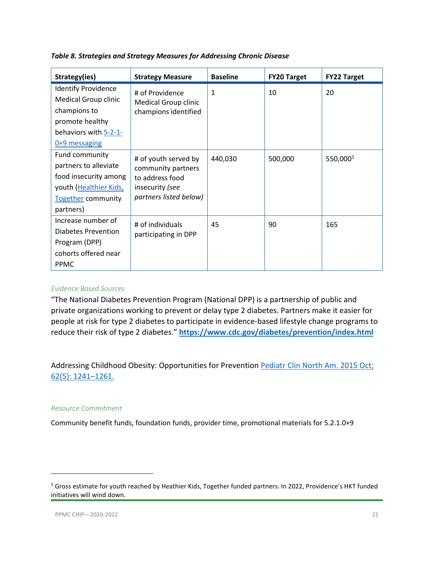| Strategy(ies)                                                                                                                            | <b>Strategy Measure</b>                                                                                    | <b>Baseline</b> | <b>FY20 Target</b> | <b>FY22 Target</b>   |
|------------------------------------------------------------------------------------------------------------------------------------------|------------------------------------------------------------------------------------------------------------|-----------------|--------------------|----------------------|
| <b>Identify Providence</b><br><b>Medical Group clinic</b><br>champions to<br>promote healthy<br>behaviors with 5-2-1-<br>$0+9$ messaging | # of Providence<br><b>Medical Group clinic</b><br>champions identified                                     | $\mathbf{1}$    | 10                 | 20                   |
| Fund community<br>partners to alleviate<br>food insecurity among<br>youth (Healthier Kids,<br><b>Together community</b><br>partners)     | # of youth served by<br>community partners<br>to address food<br>insecurity (see<br>partners listed below) | 440,030         | 500,000            | 550,000 <sup>5</sup> |
| Increase number of<br>Diabetes Prevention<br>Program (DPP)<br>cohorts offered near<br><b>PPMC</b>                                        | # of individuals<br>participating in DPP                                                                   | 45              | 90                 | 165                  |

*Table 8. Strategies and Strategy Measures for Addressing Chronic Disease*

#### *Evidence Based Sources*

"The National Diabetes Prevention Program (National DPP) is a partnership of public and private organizations working to prevent or delay type 2 diabetes. Partners make it easier for people at risk for type 2 diabetes to participate in evidence-based lifestyle change programs to reduce their risk of type 2 diabetes." **<https://www.cdc.gov/diabetes/prevention/index.html>**

Addressing Childhood Obesity: Opportunities for Prevention Pediatr Clin North Am. 2015 Oct; [62\(5\): 1241–1261.](https://www.ncbi.nlm.nih.gov/entrez/eutils/elink.fcgi?dbfrom=pubmed&retmode=ref&cmd=prlinks&id=26318950) 

#### *Resource Commitment*

Community benefit funds, foundation funds, provider time, promotional materials for 5.2.1.0+9

 $\overline{\phantom{a}}$ 

<span id="page-20-0"></span><sup>&</sup>lt;sup>5</sup> Gross estimate for youth reached by Heathier Kids, Together funded partners. In 2022, Providence's HKT funded initiatives will wind down.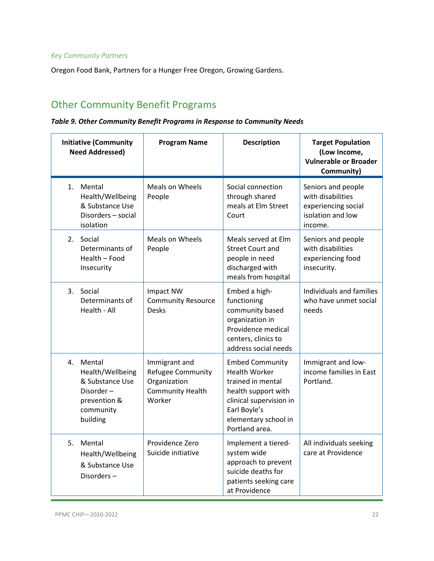#### *Key Community Partners*

<span id="page-21-0"></span>Oregon Food Bank, Partners for a Hunger Free Oregon, Growing Gardens.

# Other Community Benefit Programs

#### *Table 9. Other Community Benefit Programs in Response to Community Needs*

| <b>Initiative (Community</b><br><b>Need Addressed)</b>                                                              | <b>Program Name</b>                                                                     | <b>Description</b>                                                                                                                                                              | <b>Target Population</b><br>(Low Income,<br><b>Vulnerable or Broader</b><br>Community)         |
|---------------------------------------------------------------------------------------------------------------------|-----------------------------------------------------------------------------------------|---------------------------------------------------------------------------------------------------------------------------------------------------------------------------------|------------------------------------------------------------------------------------------------|
| 1.<br>Mental<br>Health/Wellbeing<br>& Substance Use<br>Disorders - social<br>isolation                              | Meals on Wheels<br>People                                                               | Social connection<br>through shared<br>meals at Elm Street<br>Court                                                                                                             | Seniors and people<br>with disabilities<br>experiencing social<br>isolation and low<br>income. |
| Social<br>2.<br>Determinants of<br>Health - Food<br>Insecurity                                                      | <b>Meals on Wheels</b><br>People                                                        | Meals served at Elm<br><b>Street Court and</b><br>people in need<br>discharged with<br>meals from hospital                                                                      | Seniors and people<br>with disabilities<br>experiencing food<br>insecurity.                    |
| 3. Social<br>Determinants of<br>Health - All                                                                        | Impact NW<br><b>Community Resource</b><br><b>Desks</b>                                  | Embed a high-<br>functioning<br>community based<br>organization in<br>Providence medical<br>centers, clinics to<br>address social needs                                         | Individuals and families<br>who have unmet social<br>needs                                     |
| $\mathbf{A}$<br>Mental<br>Health/Wellbeing<br>& Substance Use<br>Disorder-<br>prevention &<br>community<br>building | Immigrant and<br>Refugee Community<br>Organization<br><b>Community Health</b><br>Worker | <b>Embed Community</b><br><b>Health Worker</b><br>trained in mental<br>health support with<br>clinical supervision in<br>Earl Boyle's<br>elementary school in<br>Portland area. | Immigrant and low-<br>income families in East<br>Portland.                                     |
| 5.<br>Mental<br>Health/Wellbeing<br>& Substance Use<br>Disorders-                                                   | Providence Zero<br>Suicide initiative                                                   | Implement a tiered-<br>system wide<br>approach to prevent<br>suicide deaths for<br>patients seeking care<br>at Providence                                                       | All individuals seeking<br>care at Providence                                                  |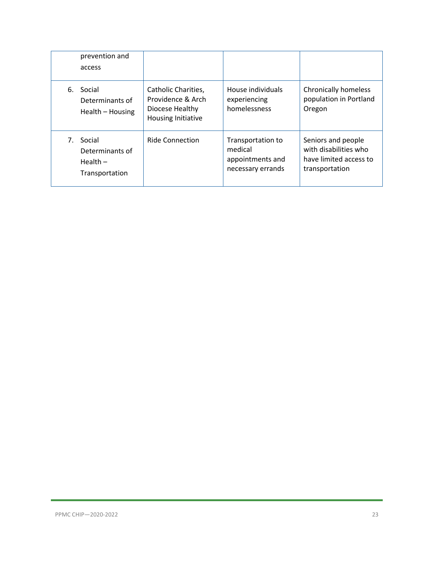| access                                       | prevention and                      |                                                                                          |                                                                       |                                                                                         |
|----------------------------------------------|-------------------------------------|------------------------------------------------------------------------------------------|-----------------------------------------------------------------------|-----------------------------------------------------------------------------------------|
| Social<br>6.                                 | Determinants of<br>Health - Housing | Catholic Charities,<br>Providence & Arch<br>Diocese Healthy<br><b>Housing Initiative</b> | House individuals<br>experiencing<br>homelessness                     | <b>Chronically homeless</b><br>population in Portland<br>Oregon                         |
| Social<br>7.<br>Health $-$<br>Transportation | Determinants of                     | <b>Ride Connection</b>                                                                   | Transportation to<br>medical<br>appointments and<br>necessary errands | Seniors and people<br>with disabilities who<br>have limited access to<br>transportation |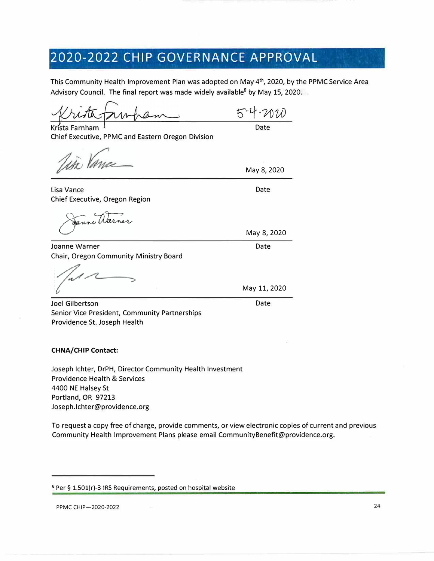# **2020-2022 CHIP GOVERNANCE APPROVAL**

This Community Health Improvement Plan was adopted on May 4<sup>th</sup>, 2020, by the PPMC Service Area Advisory Council. The final report was made widely available<sup>6</sup> by May 15, 2020.

 $5.4.2011$ Date

Date

May 8, 2020

Date

May 8, 2020

Krista Farnham Chief Executive, PPMC and Eastern Oregon Division

Lisa Vance Chief Executive, Oregon Region

Joanne Warner Chair, Oregon Community Ministry Board

May 11, 2020

Date

Joel Gilbertson Senior Vice President, Community Partnerships Providence St. Joseph Health

#### **CHNA/CHIP Contact:**

Joseph lchter, DrPH, Director Community Health Investment Providence Health & Services 4400 NE Halsey St Portland, OR 97213 Joseph.lchter@providence.org

To request a copy free of charge, provide comments, or view electronic copies of current and previous Community Health Improvement Plans please email CommunityBenefit@providence.org.

 $6$  Per § 1.501(r)-3 IRS Requirements, posted on hospital website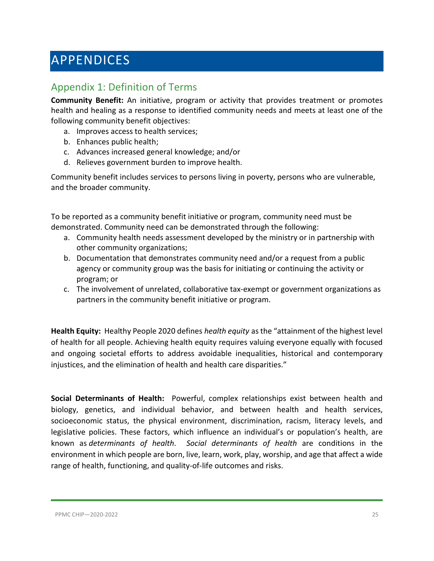# <span id="page-24-0"></span>APPENDICES

# <span id="page-24-1"></span>Appendix 1: Definition of Terms

**Community Benefit:** An initiative, program or activity that provides treatment or promotes health and healing as a response to identified community needs and meets at least one of the following community benefit objectives:

- a. Improves access to health services;
- b. Enhances public health;
- c. Advances increased general knowledge; and/or
- d. Relieves government burden to improve health.

Community benefit includes services to persons living in poverty, persons who are vulnerable, and the broader community.

To be reported as a community benefit initiative or program, community need must be demonstrated. Community need can be demonstrated through the following:

- a. Community health needs assessment developed by the ministry or in partnership with other community organizations;
- b. Documentation that demonstrates community need and/or a request from a public agency or community group was the basis for initiating or continuing the activity or program; or
- c. The involvement of unrelated, collaborative tax-exempt or government organizations as partners in the community benefit initiative or program.

**Health Equity:** Healthy People 2020 defines *health equity* as the "attainment of the highest level of health for all people. Achieving health equity requires valuing everyone equally with focused and ongoing societal efforts to address avoidable inequalities, historical and contemporary injustices, and the elimination of health and health care disparities."

**Social Determinants of Health:** Powerful, complex relationships exist between health and biology, genetics, and individual behavior, and between health and health services, socioeconomic status, the physical environment, discrimination, racism, literacy levels, and legislative policies. These factors, which influence an individual's or population's health, are known as *determinants of health*. *Social determinants of health* are conditions in the environment in which people are born, live, learn, work, play, worship, and age that affect a wide range of health, functioning, and quality-of-life outcomes and risks.